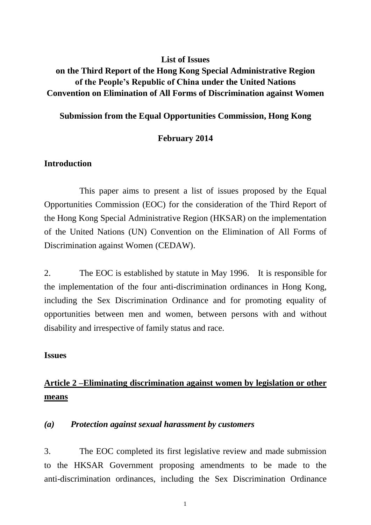# **List of Issues**

# **on the Third Report of the Hong Kong Special Administrative Region of the People's Republic of China under the United Nations Convention on Elimination of All Forms of Discrimination against Women**

# **Submission from the Equal Opportunities Commission, Hong Kong**

# **February 2014**

# **Introduction**

This paper aims to present a list of issues proposed by the Equal Opportunities Commission (EOC) for the consideration of the Third Report of the Hong Kong Special Administrative Region (HKSAR) on the implementation of the United Nations (UN) Convention on the Elimination of All Forms of Discrimination against Women (CEDAW).

2. The EOC is established by statute in May 1996. It is responsible for the implementation of the four anti-discrimination ordinances in Hong Kong, including the Sex Discrimination Ordinance and for promoting equality of opportunities between men and women, between persons with and without disability and irrespective of family status and race.

# **Issues**

# **Article 2 –Eliminating discrimination against women by legislation or other means**

# *(a) Protection against sexual harassment by customers*

3. The EOC completed its first legislative review and made submission to the HKSAR Government proposing amendments to be made to the anti-discrimination ordinances, including the Sex Discrimination Ordinance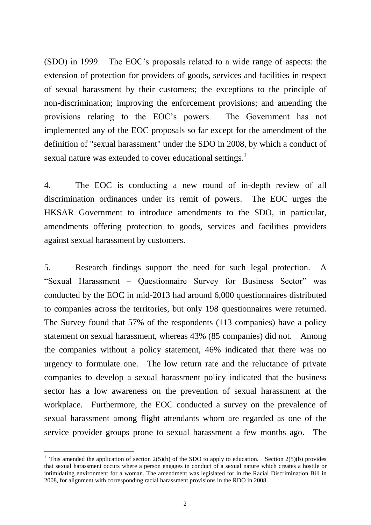(SDO) in 1999. The EOC's proposals related to a wide range of aspects: the extension of protection for providers of goods, services and facilities in respect of sexual harassment by their customers; the exceptions to the principle of non-discrimination; improving the enforcement provisions; and amending the provisions relating to the EOC's powers. The Government has not implemented any of the EOC proposals so far except for the amendment of the definition of "sexual harassment" under the SDO in 2008, by which a conduct of sexual nature was extended to cover educational settings.<sup>1</sup>

4. The EOC is conducting a new round of in-depth review of all discrimination ordinances under its remit of powers. The EOC urges the HKSAR Government to introduce amendments to the SDO, in particular, amendments offering protection to goods, services and facilities providers against sexual harassment by customers.

5. Research findings support the need for such legal protection. A "Sexual Harassment – Questionnaire Survey for Business Sector" was conducted by the EOC in mid-2013 had around 6,000 questionnaires distributed to companies across the territories, but only 198 questionnaires were returned. The Survey found that 57% of the respondents (113 companies) have a policy statement on sexual harassment, whereas 43% (85 companies) did not. Among the companies without a policy statement, 46% indicated that there was no urgency to formulate one. The low return rate and the reluctance of private companies to develop a sexual harassment policy indicated that the business sector has a low awareness on the prevention of sexual harassment at the workplace. Furthermore, the EOC conducted a survey on the prevalence of sexual harassment among flight attendants whom are regarded as one of the service provider groups prone to sexual harassment a few months ago. The

<sup>&</sup>lt;sup>1</sup> This amended the application of section  $2(5)(b)$  of the SDO to apply to education. Section  $2(5)(b)$  provides that sexual harassment occurs where a person engages in conduct of a sexual nature which creates a hostile or intimidating environment for a woman. The amendment was legislated for in the Racial Discrimination Bill in 2008, for alignment with corresponding racial harassment provisions in the RDO in 2008.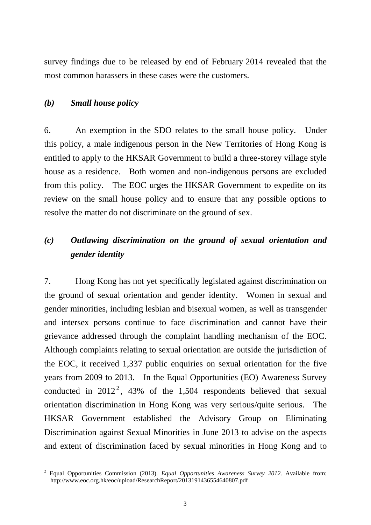survey findings due to be released by end of February 2014 revealed that the most common harassers in these cases were the customers.

# *(b) Small house policy*

 $\overline{a}$ 

6. An exemption in the SDO relates to the small house policy. Under this policy, a male indigenous person in the New Territories of Hong Kong is entitled to apply to the HKSAR Government to build a three-storey village style house as a residence. Both women and non-indigenous persons are excluded from this policy. The EOC urges the HKSAR Government to expedite on its review on the small house policy and to ensure that any possible options to resolve the matter do not discriminate on the ground of sex.

# *(c) Outlawing discrimination on the ground of sexual orientation and gender identity*

7. Hong Kong has not yet specifically legislated against discrimination on the ground of sexual orientation and gender identity. Women in sexual and gender minorities, including lesbian and bisexual women, as well as transgender and intersex persons continue to face discrimination and cannot have their grievance addressed through the complaint handling mechanism of the EOC. Although complaints relating to sexual orientation are outside the jurisdiction of the EOC, it received 1,337 public enquiries on sexual orientation for the five years from 2009 to 2013. In the Equal Opportunities (EO) Awareness Survey conducted in  $2012^2$ , 43% of the 1,504 respondents believed that sexual orientation discrimination in Hong Kong was very serious/quite serious. The HKSAR Government established the Advisory Group on Eliminating Discrimination against Sexual Minorities in June 2013 to advise on the aspects and extent of discrimination faced by sexual minorities in Hong Kong and to

<sup>2</sup> Equal Opportunities Commission (2013). *Equal Opportunities Awareness Survey 2012.* Available from: http://www.eoc.org.hk/eoc/upload/ResearchReport/2013191436554640807.pdf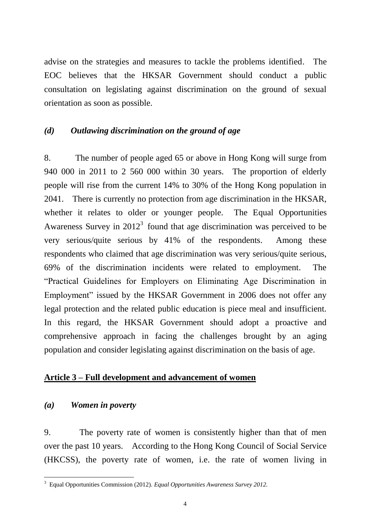advise on the strategies and measures to tackle the problems identified. The EOC believes that the HKSAR Government should conduct a public consultation on legislating against discrimination on the ground of sexual orientation as soon as possible.

# *(d) Outlawing discrimination on the ground of age*

8. The number of people aged 65 or above in Hong Kong will surge from 940 000 in 2011 to 2 560 000 within 30 years. The proportion of elderly people will rise from the current 14% to 30% of the Hong Kong population in 2041. There is currently no protection from age discrimination in the HKSAR, whether it relates to older or younger people. The Equal Opportunities Awareness Survey in  $2012<sup>3</sup>$  found that age discrimination was perceived to be very serious/quite serious by 41% of the respondents. Among these respondents who claimed that age discrimination was very serious/quite serious, 69% of the discrimination incidents were related to employment. The "Practical Guidelines for Employers on Eliminating Age Discrimination in Employment" issued by the HKSAR Government in 2006 does not offer any legal protection and the related public education is piece meal and insufficient. In this regard, the HKSAR Government should adopt a proactive and comprehensive approach in facing the challenges brought by an aging population and consider legislating against discrimination on the basis of age.

#### **Article 3 – Full development and advancement of women**

#### *(a) Women in poverty*

 $\overline{a}$ 

9. The poverty rate of women is consistently higher than that of men over the past 10 years. According to the Hong Kong Council of Social Service (HKCSS), the poverty rate of women, i.e. the rate of women living in

<sup>3</sup> Equal Opportunities Commission (2012). *Equal Opportunities Awareness Survey 2012.*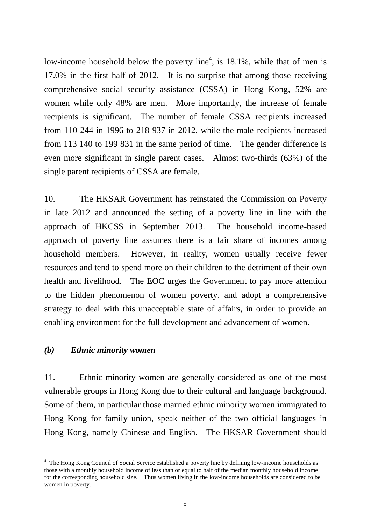low-income household below the poverty line<sup>4</sup>, is 18.1%, while that of men is 17.0% in the first half of 2012. It is no surprise that among those receiving comprehensive social security assistance (CSSA) in Hong Kong, 52% are women while only 48% are men. More importantly, the increase of female recipients is significant. The number of female CSSA recipients increased from 110 244 in 1996 to 218 937 in 2012, while the male recipients increased from 113 140 to 199 831 in the same period of time. The gender difference is even more significant in single parent cases. Almost two-thirds (63%) of the single parent recipients of CSSA are female.

10. The HKSAR Government has reinstated the Commission on Poverty in late 2012 and announced the setting of a poverty line in line with the approach of HKCSS in September 2013. The household income-based approach of poverty line assumes there is a fair share of incomes among household members. However, in reality, women usually receive fewer resources and tend to spend more on their children to the detriment of their own health and livelihood. The EOC urges the Government to pay more attention to the hidden phenomenon of women poverty, and adopt a comprehensive strategy to deal with this unacceptable state of affairs, in order to provide an enabling environment for the full development and advancement of women.

#### *(b) Ethnic minority women*

 $\overline{a}$ 

11. Ethnic minority women are generally considered as one of the most vulnerable groups in Hong Kong due to their cultural and language background. Some of them, in particular those married ethnic minority women immigrated to Hong Kong for family union, speak neither of the two official languages in Hong Kong, namely Chinese and English. The HKSAR Government should

<sup>&</sup>lt;sup>4</sup> The Hong Kong Council of Social Service established a poverty line by defining low-income households as those with a monthly household income of less than or equal to half of the median monthly household income for the corresponding household size. Thus women living in the low-income households are considered to be women in poverty.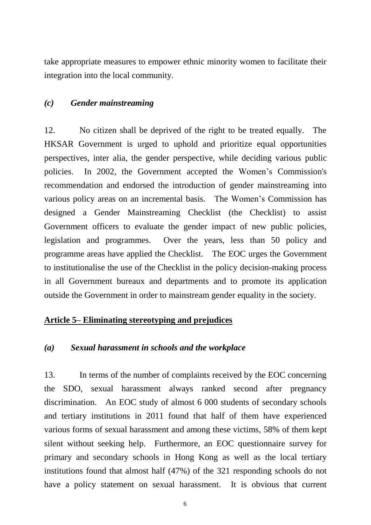take appropriate measures to empower ethnic minority women to facilitate their integration into the local community.

#### *(c) Gender mainstreaming*

12. No citizen shall be deprived of the right to be treated equally. The HKSAR Government is urged to uphold and prioritize equal opportunities perspectives, inter alia, the gender perspective, while deciding various public policies. In 2002, the Government accepted the Women's Commission's recommendation and endorsed the introduction of gender mainstreaming into various policy areas on an incremental basis. The Women's Commission has designed a Gender Mainstreaming Checklist (the Checklist) to assist Government officers to evaluate the gender impact of new public policies, legislation and programmes. Over the years, less than 50 policy and programme areas have applied the Checklist. The EOC urges the Government to institutionalise the use of the Checklist in the policy decision-making process in all Government bureaux and departments and to promote its application outside the Government in order to mainstream gender equality in the society.

# **Article 5– Eliminating stereotyping and prejudices**

#### *(a) Sexual harassment in schools and the workplace*

13. In terms of the number of complaints received by the EOC concerning the SDO, sexual harassment always ranked second after pregnancy discrimination. An EOC study of almost 6 000 students of secondary schools and tertiary institutions in 2011 found that half of them have experienced various forms of sexual harassment and among these victims, 58% of them kept silent without seeking help. Furthermore, an EOC questionnaire survey for primary and secondary schools in Hong Kong as well as the local tertiary institutions found that almost half (47%) of the 321 responding schools do not have a policy statement on sexual harassment. It is obvious that current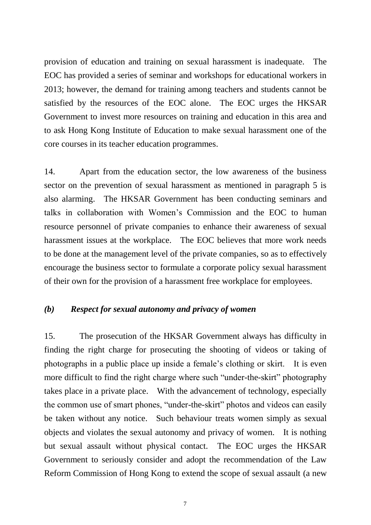provision of education and training on sexual harassment is inadequate. The EOC has provided a series of seminar and workshops for educational workers in 2013; however, the demand for training among teachers and students cannot be satisfied by the resources of the EOC alone. The EOC urges the HKSAR Government to invest more resources on training and education in this area and to ask Hong Kong Institute of Education to make sexual harassment one of the core courses in its teacher education programmes.

14. Apart from the education sector, the low awareness of the business sector on the prevention of sexual harassment as mentioned in paragraph 5 is also alarming. The HKSAR Government has been conducting seminars and talks in collaboration with Women's Commission and the EOC to human resource personnel of private companies to enhance their awareness of sexual harassment issues at the workplace. The EOC believes that more work needs to be done at the management level of the private companies, so as to effectively encourage the business sector to formulate a corporate policy sexual harassment of their own for the provision of a harassment free workplace for employees.

# *(b) Respect for sexual autonomy and privacy of women*

15. The prosecution of the HKSAR Government always has difficulty in finding the right charge for prosecuting the shooting of videos or taking of photographs in a public place up inside a female's clothing or skirt. It is even more difficult to find the right charge where such "under-the-skirt" photography takes place in a private place. With the advancement of technology, especially the common use of smart phones, "under-the-skirt" photos and videos can easily be taken without any notice. Such behaviour treats women simply as sexual objects and violates the sexual autonomy and privacy of women. It is nothing but sexual assault without physical contact. The EOC urges the HKSAR Government to seriously consider and adopt the recommendation of the Law Reform Commission of Hong Kong to extend the scope of sexual assault (a new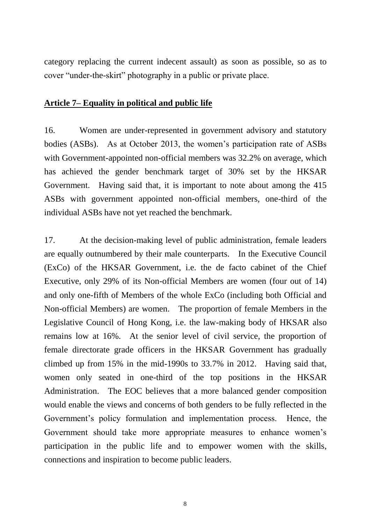category replacing the current indecent assault) as soon as possible, so as to cover "under-the-skirt" photography in a public or private place.

#### **Article 7– Equality in political and public life**

16. Women are under-represented in government advisory and statutory bodies (ASBs). As at October 2013, the women's participation rate of ASBs with Government-appointed non-official members was 32.2% on average, which has achieved the gender benchmark target of 30% set by the HKSAR Government. Having said that, it is important to note about among the 415 ASBs with government appointed non-official members, one-third of the individual ASBs have not yet reached the benchmark.

17. At the decision-making level of public administration, female leaders are equally outnumbered by their male counterparts. In the Executive Council (ExCo) of the HKSAR Government, i.e. the de facto cabinet of the Chief Executive, only 29% of its Non-official Members are women (four out of 14) and only one-fifth of Members of the whole ExCo (including both Official and Non-official Members) are women. The proportion of female Members in the Legislative Council of Hong Kong, i.e. the law-making body of HKSAR also remains low at 16%. At the senior level of civil service, the proportion of female directorate grade officers in the HKSAR Government has gradually climbed up from 15% in the mid-1990s to 33.7% in 2012. Having said that, women only seated in one-third of the top positions in the HKSAR Administration. The EOC believes that a more balanced gender composition would enable the views and concerns of both genders to be fully reflected in the Government's policy formulation and implementation process. Hence, the Government should take more appropriate measures to enhance women's participation in the public life and to empower women with the skills, connections and inspiration to become public leaders.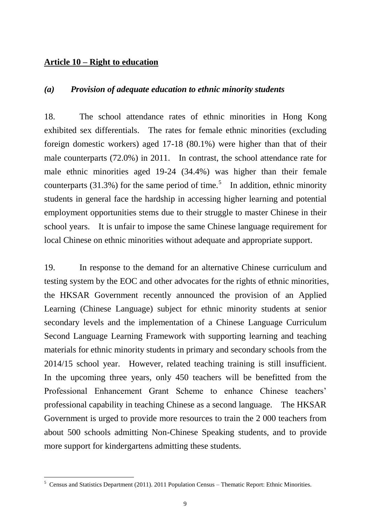# **Article 10 – Right to education**

#### *(a) Provision of adequate education to ethnic minority students*

18. The school attendance rates of ethnic minorities in Hong Kong exhibited sex differentials. The rates for female ethnic minorities (excluding foreign domestic workers) aged 17-18 (80.1%) were higher than that of their male counterparts (72.0%) in 2011. In contrast, the school attendance rate for male ethnic minorities aged 19-24 (34.4%) was higher than their female counterparts (31.3%) for the same period of time.<sup>5</sup> In addition, ethnic minority students in general face the hardship in accessing higher learning and potential employment opportunities stems due to their struggle to master Chinese in their school years. It is unfair to impose the same Chinese language requirement for local Chinese on ethnic minorities without adequate and appropriate support.

19. In response to the demand for an alternative Chinese curriculum and testing system by the EOC and other advocates for the rights of ethnic minorities, the HKSAR Government recently announced the provision of an Applied Learning (Chinese Language) subject for ethnic minority students at senior secondary levels and the implementation of a Chinese Language Curriculum Second Language Learning Framework with supporting learning and teaching materials for ethnic minority students in primary and secondary schools from the 2014/15 school year. However, related teaching training is still insufficient. In the upcoming three years, only 450 teachers will be benefitted from the Professional Enhancement Grant Scheme to enhance Chinese teachers' professional capability in teaching Chinese as a second language. The HKSAR Government is urged to provide more resources to train the 2 000 teachers from about 500 schools admitting Non-Chinese Speaking students, and to provide more support for kindergartens admitting these students.

<sup>5</sup> Census and Statistics Department (2011). 2011 Population Census – Thematic Report: Ethnic Minorities.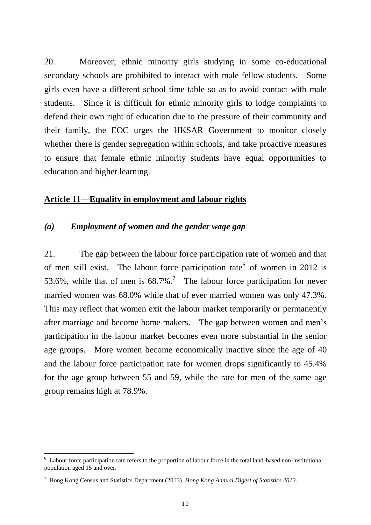20. Moreover, ethnic minority girls studying in some co-educational secondary schools are prohibited to interact with male fellow students. Some girls even have a different school time-table so as to avoid contact with male students. Since it is difficult for ethnic minority girls to lodge complaints to defend their own right of education due to the pressure of their community and their family, the EOC urges the HKSAR Government to monitor closely whether there is gender segregation within schools, and take proactive measures to ensure that female ethnic minority students have equal opportunities to education and higher learning.

#### **Article 11—Equality in employment and labour rights**

# *(a) Employment of women and the gender wage gap*

21. The gap between the labour force participation rate of women and that of men still exist. The labour force participation rate  $6$  of women in 2012 is 53.6%, while that of men is  $68.7\%$ .<sup>7</sup> The labour force participation for never married women was 68.0% while that of ever married women was only 47.3%. This may reflect that women exit the labour market temporarily or permanently after marriage and become home makers. The gap between women and men's participation in the labour market becomes even more substantial in the senior age groups. More women become economically inactive since the age of 40 and the labour force participation rate for women drops significantly to 45.4% for the age group between 55 and 59, while the rate for men of the same age group remains high at 78.9%.

 $6$  Labour force participation rate refers to the proportion of labour force in the total land-based non-institutional population aged 15 and over.

<sup>7</sup> Hong Kong Census and Statistics Department (2013). *Hong Kong Annual Digest of Statistics 2013.*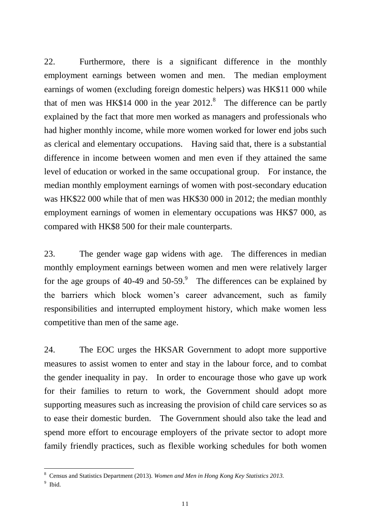22. Furthermore, there is a significant difference in the monthly employment earnings between women and men. The median employment earnings of women (excluding foreign domestic helpers) was HK\$11 000 while that of men was HK\$14 000 in the year  $2012$ <sup>8</sup>. The difference can be partly explained by the fact that more men worked as managers and professionals who had higher monthly income, while more women worked for lower end jobs such as clerical and elementary occupations. Having said that, there is a substantial difference in income between women and men even if they attained the same level of education or worked in the same occupational group. For instance, the median monthly employment earnings of women with post-secondary education was HK\$22 000 while that of men was HK\$30 000 in 2012; the median monthly employment earnings of women in elementary occupations was HK\$7 000, as compared with HK\$8 500 for their male counterparts.

23. The gender wage gap widens with age. The differences in median monthly employment earnings between women and men were relatively larger for the age groups of 40-49 and  $50-59$ .<sup>9</sup> The differences can be explained by the barriers which block women's career advancement, such as family responsibilities and interrupted employment history, which make women less competitive than men of the same age.

24. The EOC urges the HKSAR Government to adopt more supportive measures to assist women to enter and stay in the labour force, and to combat the gender inequality in pay. In order to encourage those who gave up work for their families to return to work, the Government should adopt more supporting measures such as increasing the provision of child care services so as to ease their domestic burden. The Government should also take the lead and spend more effort to encourage employers of the private sector to adopt more family friendly practices, such as flexible working schedules for both women

<sup>8</sup> Census and Statistics Department (2013). *Women and Men in Hong Kong Key Statistics 2013.*

<sup>&</sup>lt;sup>9</sup> Ibid.